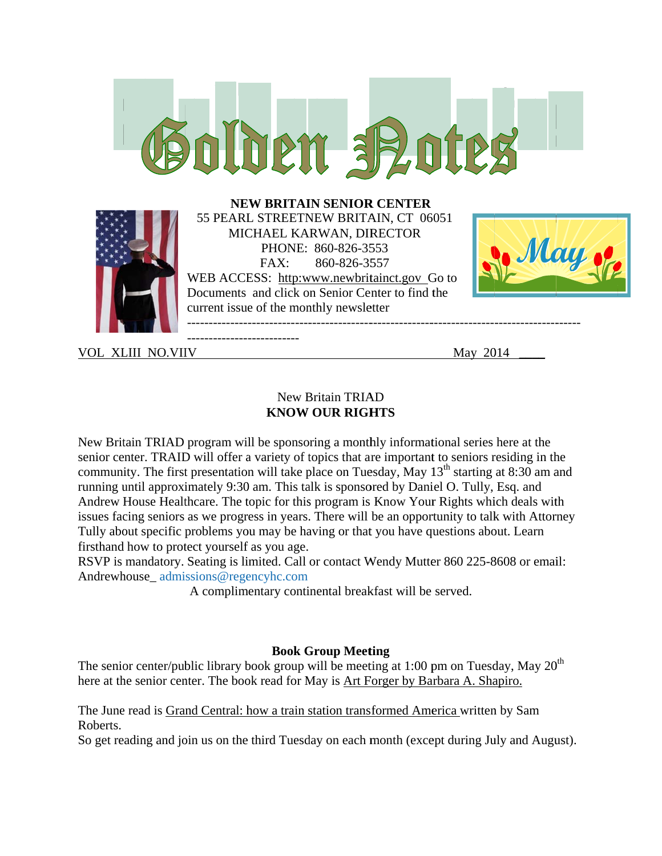

**VOL XLIII NO.VIIV** 

May 2014

### New Britain TRIAD **KNOW OUR RIGHTS**

New Britain TRIAD program will be sponsoring a monthly informational series here at the senior center. TRAID will offer a variety of topics that are important to seniors residing in the community. The first presentation will take place on Tuesday, May 13<sup>th</sup> starting at 8:30 am and running until approximately 9:30 am. This talk is sponsored by Daniel O. Tully, Esq. and Andrew House Healthcare. The topic for this program is Know Your Rights which deals with issues facing seniors as we progress in years. There will be an opportunity to talk with Attorney Tully about specific problems you may be having or that you have questions about. Learn firsthand how to protect yourself as you age.

RSVP is mandatory. Seating is limited. Call or contact Wendy Mutter 860 225-8608 or email: Andrewhouse\_admissions@regencyhc.com

A complimentary continental breakfast will be served.

# **Book Group Meeting**

The senior center/public library book group will be meeting at 1:00 pm on Tuesday, May  $20<sup>th</sup>$ here at the senior center. The book read for May is Art Forger by Barbara A. Shapiro.

The June read is Grand Central: how a train station transformed America written by Sam Roberts.

So get reading and join us on the third Tuesday on each month (except during July and August).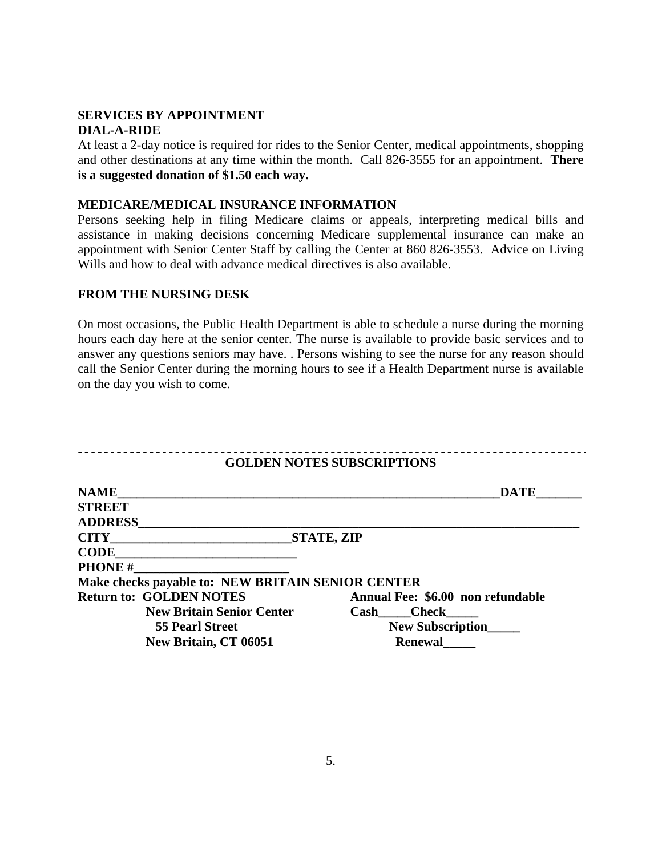#### **SERVICES BY APPOINTMENT DIAL-A-RIDE**

At least a 2-day notice is required for rides to the Senior Center, medical appointments, shopping and other destinations at any time within the month. Call 826-3555 for an appointment. **There is a suggested donation of \$1.50 each way.** 

#### **MEDICARE/MEDICAL INSURANCE INFORMATION**

Persons seeking help in filing Medicare claims or appeals, interpreting medical bills and assistance in making decisions concerning Medicare supplemental insurance can make an appointment with Senior Center Staff by calling the Center at 860 826-3553. Advice on Living Wills and how to deal with advance medical directives is also available.

### **FROM THE NURSING DESK**

On most occasions, the Public Health Department is able to schedule a nurse during the morning hours each day here at the senior center. The nurse is available to provide basic services and to answer any questions seniors may have. . Persons wishing to see the nurse for any reason should call the Senior Center during the morning hours to see if a Health Department nurse is available on the day you wish to come.

| <b>GOLDEN NOTES SUBSCRIPTIONS</b>                 |                                   |
|---------------------------------------------------|-----------------------------------|
| <b>NAME</b>                                       | <b>DATE</b>                       |
| <b>STREET</b>                                     |                                   |
| <b>ADDRESS</b>                                    |                                   |
| <b>CITY</b>                                       | <b>STATE, ZIP</b>                 |
| <b>CODE</b>                                       |                                   |
| <b>PHONE#</b>                                     |                                   |
| Make checks payable to: NEW BRITAIN SENIOR CENTER |                                   |
| <b>Return to: GOLDEN NOTES</b>                    | Annual Fee: \$6.00 non refundable |
| <b>New Britain Senior Center</b>                  | Check<br>Cash                     |
| <b>55 Pearl Street</b>                            | <b>New Subscription</b>           |
| New Britain, CT 06051                             | <b>Renewal</b>                    |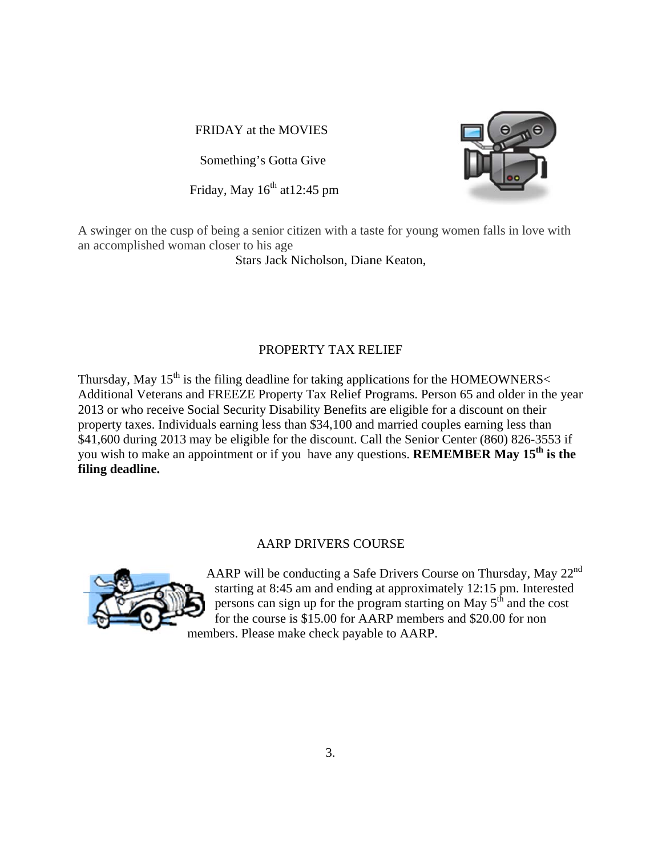FRIDAY at the MOVIES

Something's Gotta Give

Friday, May 16<sup>th</sup> at 12:45 pm



A swinger on the cusp of being a senior citizen with a taste for young women falls in love with an accomplished woman closer to his age

Stars Jack Nicholson, Diane Keaton,

# PROPERTY TAX RELIEF

Thursday, May 15<sup>th</sup> is the filing deadline for taking applications for the HOMEOWNERS< Additional Veterans and FREEZE Property Tax Relief Programs. Person 65 and older in the year 2013 or who receive Social Security Disability Benefits are eligible for a discount on their property taxes. Individuals earning less than \$34,100 and married couples earning less than \$41,600 during 2013 may be eligible for the discount. Call the Senior Center (860) 826-3553 if you wish to make an appointment or if you have any questions. **REMEMBER May 15<sup>th</sup>** is the filing deadline.

# **AARP DRIVERS COURSE**



AARP will be conducting a Safe Drivers Course on Thursday, May 22<sup>nd</sup> starting at 8:45 am and ending at approximately 12:15 pm. Interested persons can sign up for the program starting on May  $5<sup>th</sup>$  and the cost for the course is \$15.00 for AARP members and \$20.00 for non members. Please make check payable to AARP.